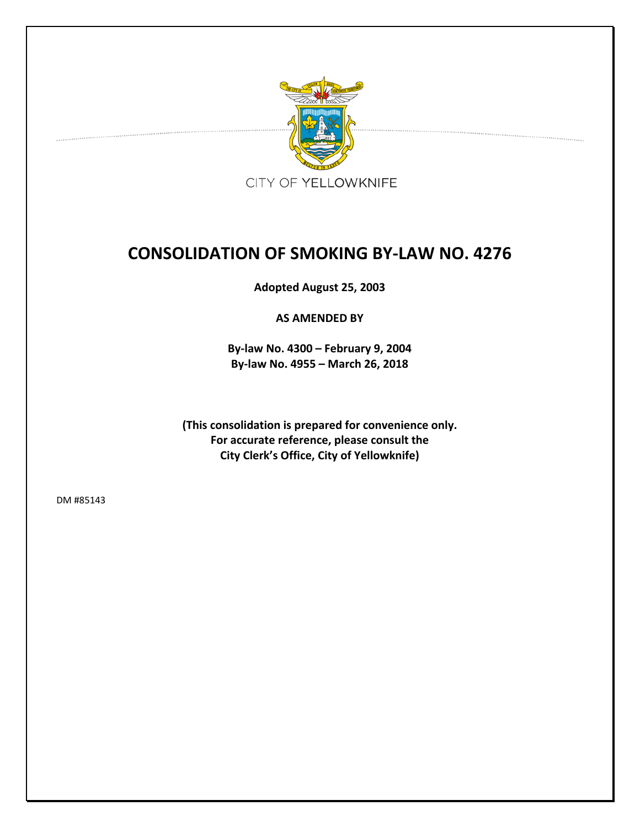

# **CONSOLIDATION OF SMOKING BY‐LAW NO. 4276**

**Adopted August 25, 2003**

**AS AMENDED BY**

**By‐law No. 4300 – February 9, 2004 By‐law No. 4955 – March 26, 2018**

**(This consolidation is prepared for convenience only. For accurate reference, please consult the City Clerk's Office, City of Yellowknife)**

DM #85143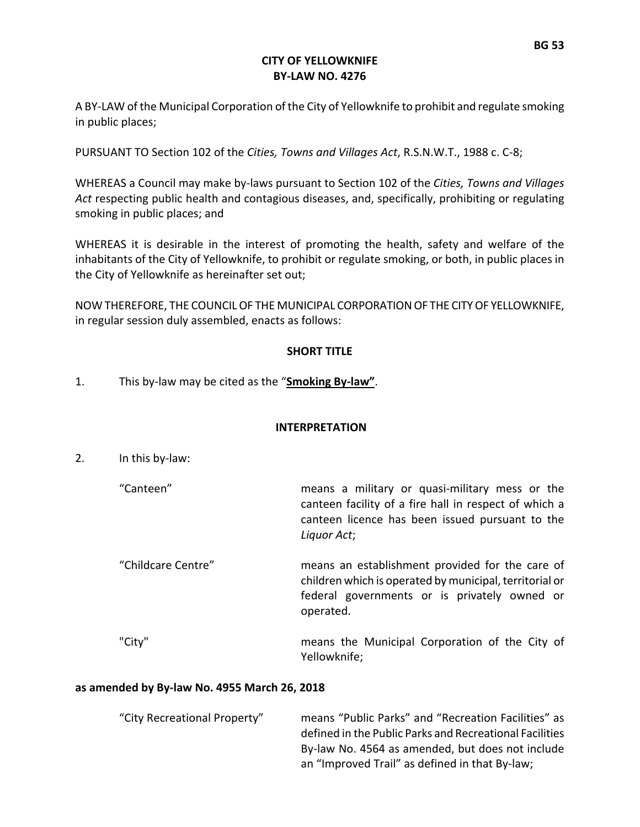#### **CITY OF YELLOWKNIFE BY‐LAW NO. 4276**

A BY‐LAW of the Municipal Corporation of the City of Yellowknife to prohibit and regulate smoking in public places;

PURSUANT TO Section 102 of the *Cities, Towns and Villages Act*, R.S.N.W.T., 1988 c. C‐8;

WHEREAS a Council may make by‐laws pursuant to Section 102 of the *Cities, Towns and Villages Act* respecting public health and contagious diseases, and, specifically, prohibiting or regulating smoking in public places; and

WHEREAS it is desirable in the interest of promoting the health, safety and welfare of the inhabitants of the City of Yellowknife, to prohibit or regulate smoking, or both, in public places in the City of Yellowknife as hereinafter set out;

NOW THEREFORE, THE COUNCILOF THE MUNICIPAL CORPORATIONOF THE CITYOF YELLOWKNIFE, in regular session duly assembled, enacts as follows:

#### **SHORT TITLE**

1. This by‐law may be cited as the "**Smoking By‐law"**.

# **INTERPRETATION**

- 2. In this by‐law:
	- "Canteen" means a military or quasi‐military mess or the canteen facility of a fire hall in respect of which a canteen licence has been issued pursuant to the *Liquor Act*;
	- "Childcare Centre" means an establishment provided for the care of children which is operated by municipal, territorial or federal governments or is privately owned or operated.

"City" means the Municipal Corporation of the City of Yellowknife;

#### **as amended by By‐law No. 4955 March 26, 2018**

| "City Recreational Property" | means "Public Parks" and "Recreation Facilities" as     |
|------------------------------|---------------------------------------------------------|
|                              | defined in the Public Parks and Recreational Facilities |
|                              | By-law No. 4564 as amended, but does not include        |
|                              | an "Improved Trail" as defined in that By-law;          |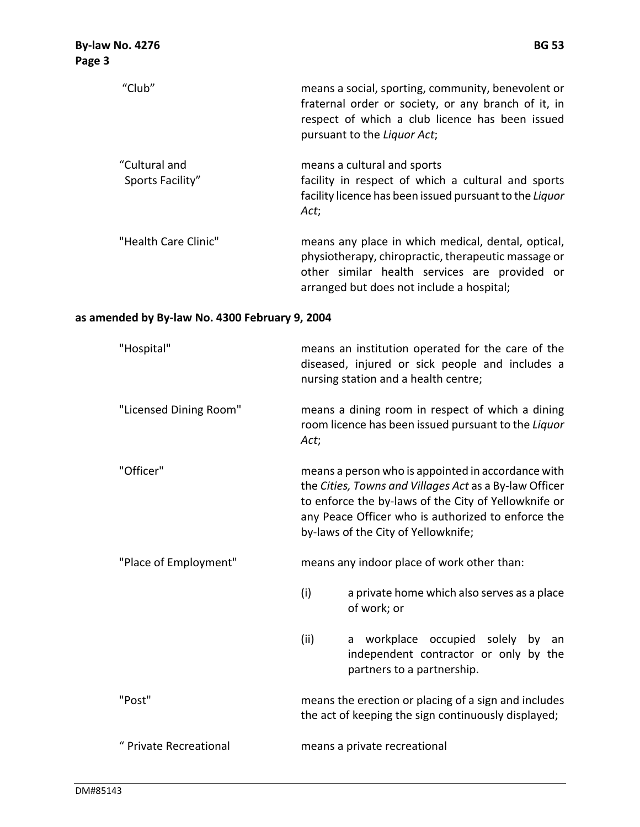| "Club"                            | means a social, sporting, community, benevolent or<br>fraternal order or society, or any branch of it, in<br>respect of which a club licence has been issued<br>pursuant to the Liquor Act;             |
|-----------------------------------|---------------------------------------------------------------------------------------------------------------------------------------------------------------------------------------------------------|
| "Cultural and<br>Sports Facility" | means a cultural and sports<br>facility in respect of which a cultural and sports<br>facility licence has been issued pursuant to the Liquor<br>Act;                                                    |
| "Health Care Clinic"              | means any place in which medical, dental, optical,<br>physiotherapy, chiropractic, therapeutic massage or<br>other similar health services are provided or<br>arranged but does not include a hospital; |

# **as amended by By‐law No. 4300 February 9, 2004**

| "Hospital"             | means an institution operated for the care of the<br>diseased, injured or sick people and includes a<br>nursing station and a health centre;                                                                                                                      |                                                                                                                   |
|------------------------|-------------------------------------------------------------------------------------------------------------------------------------------------------------------------------------------------------------------------------------------------------------------|-------------------------------------------------------------------------------------------------------------------|
| "Licensed Dining Room" | means a dining room in respect of which a dining<br>room licence has been issued pursuant to the Liquor<br>Act;                                                                                                                                                   |                                                                                                                   |
| "Officer"              | means a person who is appointed in accordance with<br>the Cities, Towns and Villages Act as a By-law Officer<br>to enforce the by-laws of the City of Yellowknife or<br>any Peace Officer who is authorized to enforce the<br>by-laws of the City of Yellowknife; |                                                                                                                   |
| "Place of Employment"  | means any indoor place of work other than:                                                                                                                                                                                                                        |                                                                                                                   |
|                        | (i)                                                                                                                                                                                                                                                               | a private home which also serves as a place<br>of work; or                                                        |
|                        | (ii)                                                                                                                                                                                                                                                              | workplace occupied solely<br>by<br>an<br>a<br>independent contractor or only by the<br>partners to a partnership. |
| "Post"                 | means the erection or placing of a sign and includes<br>the act of keeping the sign continuously displayed;                                                                                                                                                       |                                                                                                                   |
| " Private Recreational | means a private recreational                                                                                                                                                                                                                                      |                                                                                                                   |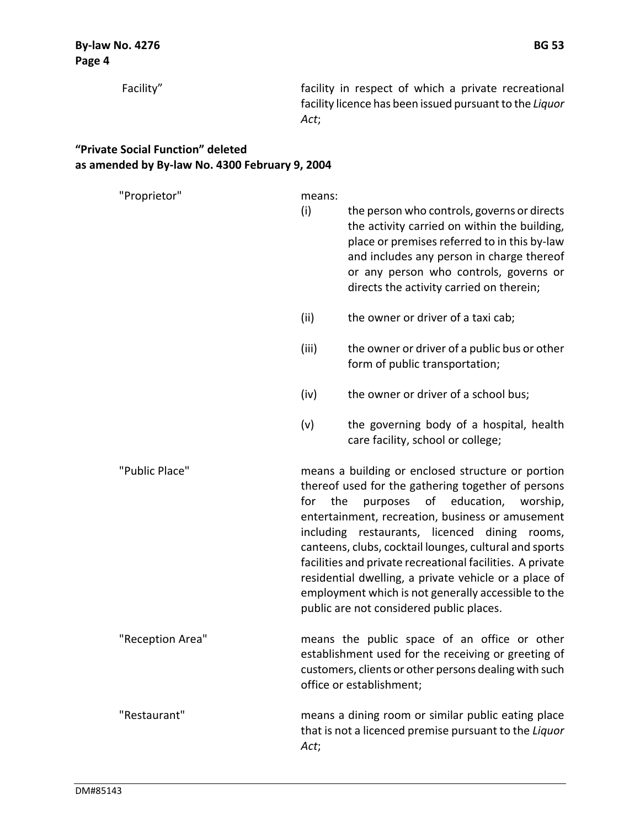**"Private Social Function" deleted**

| as amended by By-law No. 4300 February 9, 2004 |               |                                                                                                                                                                                                                                                                                                                                                                                                                                                                                                                                           |
|------------------------------------------------|---------------|-------------------------------------------------------------------------------------------------------------------------------------------------------------------------------------------------------------------------------------------------------------------------------------------------------------------------------------------------------------------------------------------------------------------------------------------------------------------------------------------------------------------------------------------|
| "Proprietor"                                   | means:<br>(i) | the person who controls, governs or directs<br>the activity carried on within the building,<br>place or premises referred to in this by-law<br>and includes any person in charge thereof<br>or any person who controls, governs or<br>directs the activity carried on therein;                                                                                                                                                                                                                                                            |
|                                                | (ii)          | the owner or driver of a taxi cab;                                                                                                                                                                                                                                                                                                                                                                                                                                                                                                        |
|                                                | (iii)         | the owner or driver of a public bus or other<br>form of public transportation;                                                                                                                                                                                                                                                                                                                                                                                                                                                            |
|                                                | (iv)          | the owner or driver of a school bus;                                                                                                                                                                                                                                                                                                                                                                                                                                                                                                      |
|                                                | (v)           | the governing body of a hospital, health<br>care facility, school or college;                                                                                                                                                                                                                                                                                                                                                                                                                                                             |
| "Public Place"                                 | for           | means a building or enclosed structure or portion<br>thereof used for the gathering together of persons<br>purposes of education, worship,<br>the<br>entertainment, recreation, business or amusement<br>including restaurants, licenced dining rooms,<br>canteens, clubs, cocktail lounges, cultural and sports<br>facilities and private recreational facilities. A private<br>residential dwelling, a private vehicle or a place of<br>employment which is not generally accessible to the<br>public are not considered public places. |
| "Reception Area"                               |               | means the public space of an office or other<br>establishment used for the receiving or greeting of<br>customers, clients or other persons dealing with such<br>office or establishment;                                                                                                                                                                                                                                                                                                                                                  |
| "Restaurant"                                   | Act;          | means a dining room or similar public eating place<br>that is not a licenced premise pursuant to the Liquor                                                                                                                                                                                                                                                                                                                                                                                                                               |

Facility" **facility** in respect of which a private recreational

*Act*;

facility licence has been issued pursuant to the *Liquor*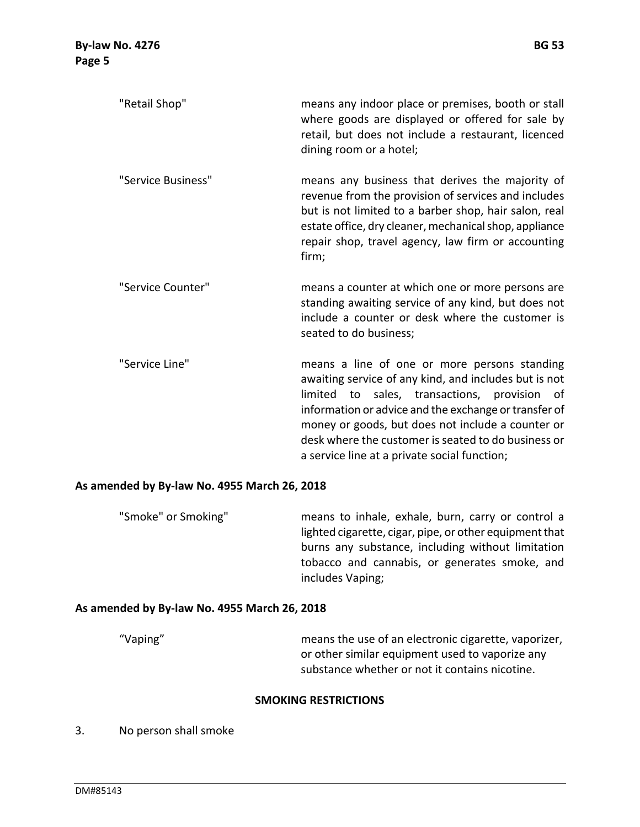| "Retail Shop"      | means any indoor place or premises, booth or stall<br>where goods are displayed or offered for sale by<br>retail, but does not include a restaurant, licenced<br>dining room or a hotel;                                                                                                 |
|--------------------|------------------------------------------------------------------------------------------------------------------------------------------------------------------------------------------------------------------------------------------------------------------------------------------|
| "Service Business" | means any business that derives the majority of<br>revenue from the provision of services and includes<br>but is not limited to a barber shop, hair salon, real<br>estate office, dry cleaner, mechanical shop, appliance<br>repair shop, travel agency, law firm or accounting<br>firm; |
| "Service Counter"  | means a counter at which one or more persons are<br>standing awaiting service of any kind, but does not<br>include a counter or desk where the customer is<br>seated to do business;                                                                                                     |
| "Conrich           | moans a line of ano ar mare narsans standing                                                                                                                                                                                                                                             |

"Service Line" means a line of one or more persons standing awaiting service of any kind, and includes but is not limited to sales, transactions, provision of information or advice and the exchange or transfer of money or goods, but does not include a counter or desk where the customer is seated to do business or a service line at a private social function;

#### **As amended by By‐law No. 4955 March 26, 2018**

"Smoke" or Smoking" means to inhale, exhale, burn, carry or control a lighted cigarette, cigar, pipe, or other equipment that burns any substance, including without limitation tobacco and cannabis, or generates smoke, and includes Vaping;

#### **As amended by By‐law No. 4955 March 26, 2018**

"Vaping" means the use of an electronic cigarette, vaporizer, or other similar equipment used to vaporize any substance whether or not it contains nicotine.

#### **SMOKING RESTRICTIONS**

3. No person shall smoke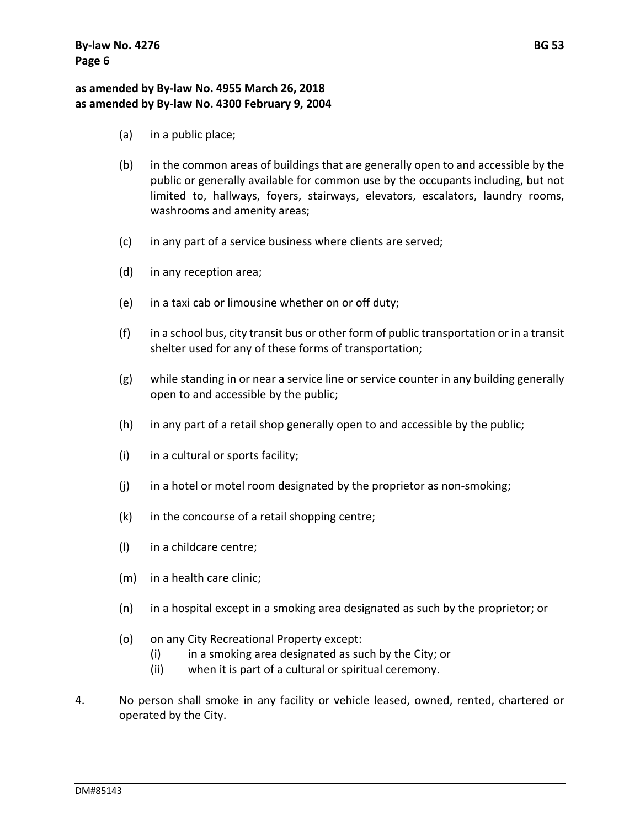# **as amended by By‐law No. 4955 March 26, 2018 as amended by By‐law No. 4300 February 9, 2004**

- (a) in a public place;
- (b) in the common areas of buildings that are generally open to and accessible by the public or generally available for common use by the occupants including, but not limited to, hallways, foyers, stairways, elevators, escalators, laundry rooms, washrooms and amenity areas;
- (c) in any part of a service business where clients are served;
- (d) in any reception area;
- (e) in a taxi cab or limousine whether on or off duty;
- (f) in a school bus, city transit bus or other form of public transportation or in a transit shelter used for any of these forms of transportation;
- (g) while standing in or near a service line or service counter in any building generally open to and accessible by the public;
- (h) in any part of a retail shop generally open to and accessible by the public;
- (i) in a cultural or sports facility;
- $(i)$  in a hotel or motel room designated by the proprietor as non-smoking;
- (k) in the concourse of a retail shopping centre;
- (l) in a childcare centre;
- (m) in a health care clinic;
- (n) in a hospital except in a smoking area designated as such by the proprietor; or
- (o) on any City Recreational Property except:
	- (i) in a smoking area designated as such by the City; or
	- (ii) when it is part of a cultural or spiritual ceremony.
- 4. No person shall smoke in any facility or vehicle leased, owned, rented, chartered or operated by the City.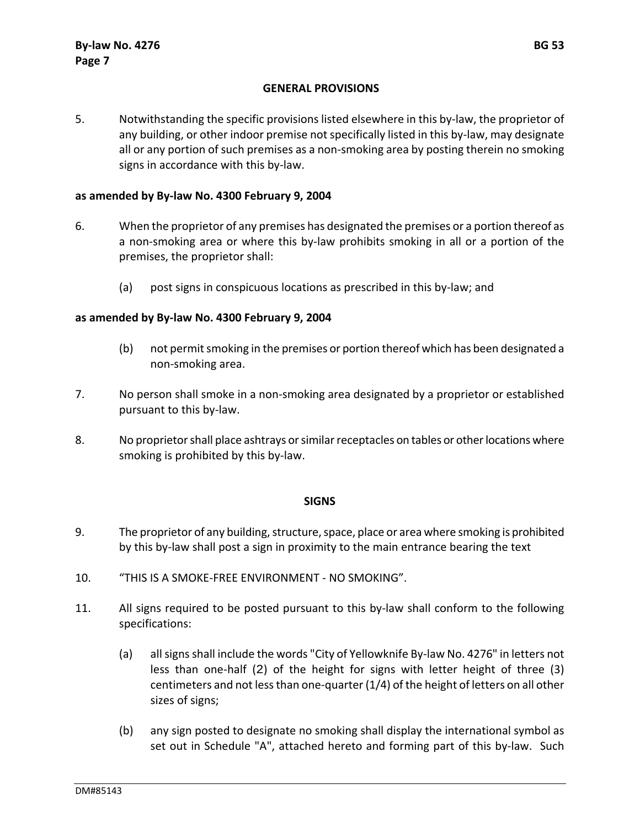#### **GENERAL PROVISIONS**

5. Notwithstanding the specific provisions listed elsewhere in this by-law, the proprietor of any building, or other indoor premise not specifically listed in this by‐law, may designate all or any portion of such premises as a non‐smoking area by posting therein no smoking signs in accordance with this by‐law.

# **as amended by By‐law No. 4300 February 9, 2004**

- 6. When the proprietor of any premises has designated the premises or a portion thereof as a non‐smoking area or where this by‐law prohibits smoking in all or a portion of the premises, the proprietor shall:
	- (a) post signs in conspicuous locations as prescribed in this by‐law; and

# **as amended by By‐law No. 4300 February 9, 2004**

- (b) not permitsmoking in the premises or portion thereof which has been designated a non‐smoking area.
- 7. No person shall smoke in a non‐smoking area designated by a proprietor or established pursuant to this by‐law.
- 8. No proprietor shall place ashtrays or similar receptacles on tables or other locations where smoking is prohibited by this by‐law.

#### **SIGNS**

- 9. The proprietor of any building, structure, space, place or area where smoking is prohibited by this by‐law shall post a sign in proximity to the main entrance bearing the text
- 10. "THIS IS A SMOKE‐FREE ENVIRONMENT ‐ NO SMOKING".
- 11. All signs required to be posted pursuant to this by-law shall conform to the following specifications:
	- (a) all signs shall include the words "City of Yellowknife By-law No. 4276" in letters not less than one‐half (2) of the height for signs with letter height of three (3) centimeters and not less than one-quarter  $(1/4)$  of the height of letters on all other sizes of signs;
	- (b) any sign posted to designate no smoking shall display the international symbol as set out in Schedule "A", attached hereto and forming part of this by-law. Such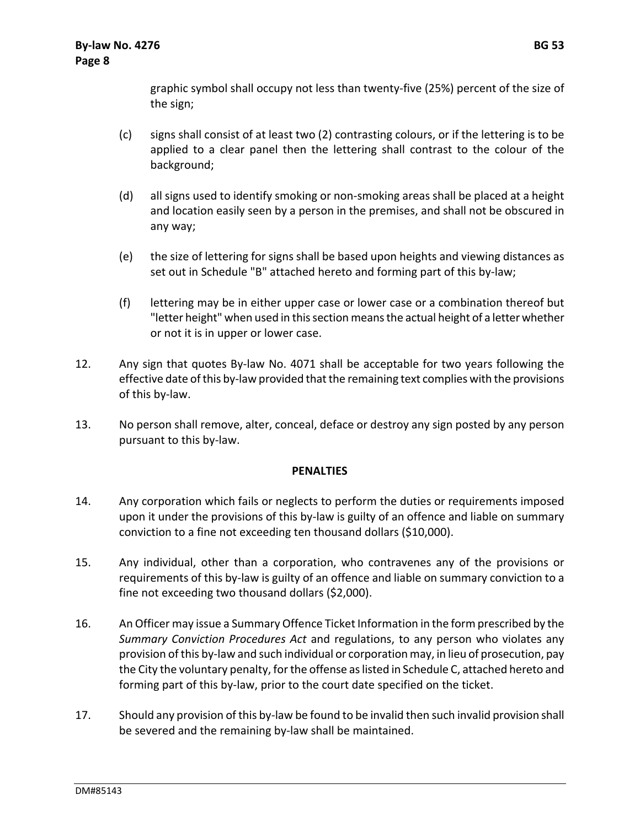graphic symbol shall occupy not less than twenty‐five (25%) percent of the size of the sign;

- (c) signs shall consist of at least two (2) contrasting colours, or if the lettering is to be applied to a clear panel then the lettering shall contrast to the colour of the background;
- (d) all signs used to identify smoking or non‐smoking areas shall be placed at a height and location easily seen by a person in the premises, and shall not be obscured in any way;
- (e) the size of lettering for signs shall be based upon heights and viewing distances as set out in Schedule "B" attached hereto and forming part of this by-law;
- (f) lettering may be in either upper case or lower case or a combination thereof but "letter height" when used in this section means the actual height of a letter whether or not it is in upper or lower case.
- 12. Any sign that quotes By‐law No. 4071 shall be acceptable for two years following the effective date of this by-law provided that the remaining text complies with the provisions of this by‐law.
- 13. No person shall remove, alter, conceal, deface or destroy any sign posted by any person pursuant to this by‐law.

#### **PENALTIES**

- 14. Any corporation which fails or neglects to perform the duties or requirements imposed upon it under the provisions of this by-law is guilty of an offence and liable on summary conviction to a fine not exceeding ten thousand dollars (\$10,000).
- 15. Any individual, other than a corporation, who contravenes any of the provisions or requirements of this by‐law is guilty of an offence and liable on summary conviction to a fine not exceeding two thousand dollars (\$2,000).
- 16. An Officer may issue a Summary Offence Ticket Information in the form prescribed by the *Summary Conviction Procedures Act* and regulations, to any person who violates any provision of this by‐law and such individual or corporation may, in lieu of prosecution, pay the City the voluntary penalty, for the offense as listed in Schedule C, attached hereto and forming part of this by-law, prior to the court date specified on the ticket.
- 17. Should any provision of this by-law be found to be invalid then such invalid provision shall be severed and the remaining by‐law shall be maintained.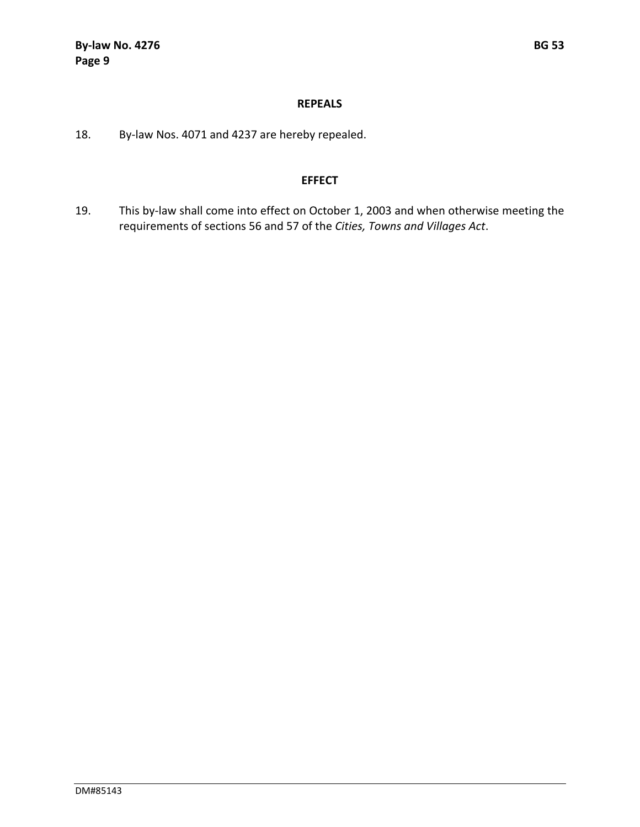#### **REPEALS**

18. By-law Nos. 4071 and 4237 are hereby repealed.

# **EFFECT**

19. This by-law shall come into effect on October 1, 2003 and when otherwise meeting the requirements of sections 56 and 57 of the *Cities, Towns and Villages Act*.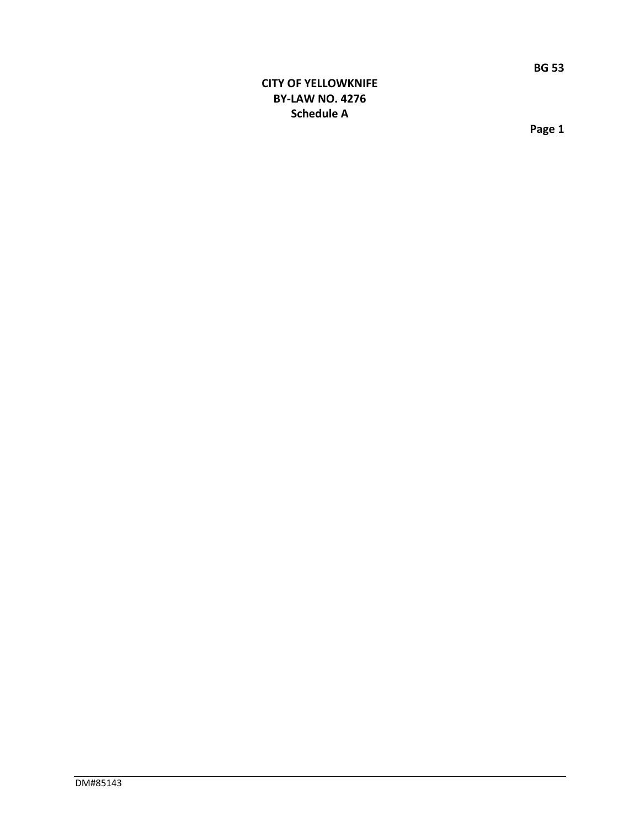# **CITY OF YELLOWKNIFE BY‐LAW NO. 4276 Schedule A**

**Page 1**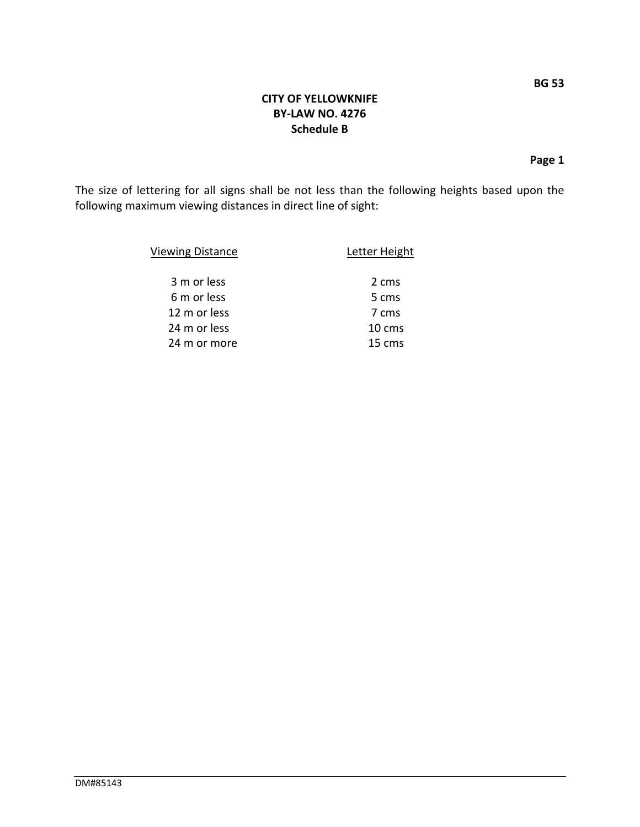**Page 1**

The size of lettering for all signs shall be not less than the following heights based upon the following maximum viewing distances in direct line of sight:

| <b>Viewing Distance</b> | Letter Height   |
|-------------------------|-----------------|
| 3 m or less             | 2 cms           |
| 6 m or less             | 5 cms           |
| 12 m or less            | 7 cms           |
| 24 m or less            | $10 \text{ cm}$ |
| 24 m or more            | 15 cms          |

DM#85143